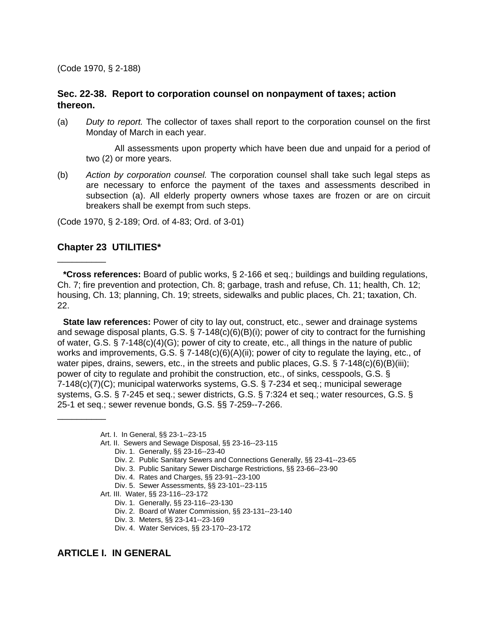(Code 1970, § 2-188)

# **Sec. 22-38. Report to corporation counsel on nonpayment of taxes; action thereon.**

(a) *Duty to report.* The collector of taxes shall report to the corporation counsel on the first Monday of March in each year.

All assessments upon property which have been due and unpaid for a period of two (2) or more years.

(b) *Action by corporation counsel.* The corporation counsel shall take such legal steps as are necessary to enforce the payment of the taxes and assessments described in subsection (a). All elderly property owners whose taxes are frozen or are on circuit breakers shall be exempt from such steps.

(Code 1970, § 2-189; Ord. of 4-83; Ord. of 3-01)

# **Chapter 23 UTILITIES\***

\_\_\_\_\_\_\_\_\_\_

\_\_\_\_\_\_\_\_\_\_

**\*Cross references:** Board of public works, § 2-166 et seq.; buildings and building regulations, Ch. 7; fire prevention and protection, Ch. 8; garbage, trash and refuse, Ch. 11; health, Ch. 12; housing, Ch. 13; planning, Ch. 19; streets, sidewalks and public places, Ch. 21; taxation, Ch. 22.

**State law references:** Power of city to lay out, construct, etc., sewer and drainage systems and sewage disposal plants, G.S. § 7-148(c)(6)(B)(i); power of city to contract for the furnishing of water, G.S. § 7-148(c)(4)(G); power of city to create, etc., all things in the nature of public works and improvements, G.S.  $\S$  7-148(c)(6)(A)(ii); power of city to regulate the laying, etc., of water pipes, drains, sewers, etc., in the streets and public places, G.S.  $\S$  7-148(c)(6)(B)(iii); power of city to regulate and prohibit the construction, etc., of sinks, cesspools, G.S. § 7-148(c)(7)(C); municipal waterworks systems, G.S. § 7-234 et seq.; municipal sewerage systems, G.S. § 7-245 et seq.; sewer districts, G.S. § 7:324 et seq.; water resources, G.S. § 25-1 et seq.; sewer revenue bonds, G.S. §§ 7-259--7-266.

- Art. II. Sewers and Sewage Disposal, §§ 23-16--23-115
	- Div. 1. Generally, §§ 23-16--23-40
	- Div. 2. Public Sanitary Sewers and Connections Generally, §§ 23-41--23-65
	- Div. 3. Public Sanitary Sewer Discharge Restrictions, §§ 23-66--23-90
	- Div. 4. Rates and Charges, §§ 23-91--23-100
	- Div. 5. Sewer Assessments, §§ 23-101--23-115
- Art. III. Water, §§ 23-116--23-172
	- Div. 1. Generally, §§ 23-116--23-130
	- Div. 2. Board of Water Commission, §§ 23-131--23-140
	- Div. 3. Meters, §§ 23-141--23-169
	- Div. 4. Water Services, §§ 23-170--23-172

# **ARTICLE I. IN GENERAL**

Art. I. In General, §§ 23-1--23-15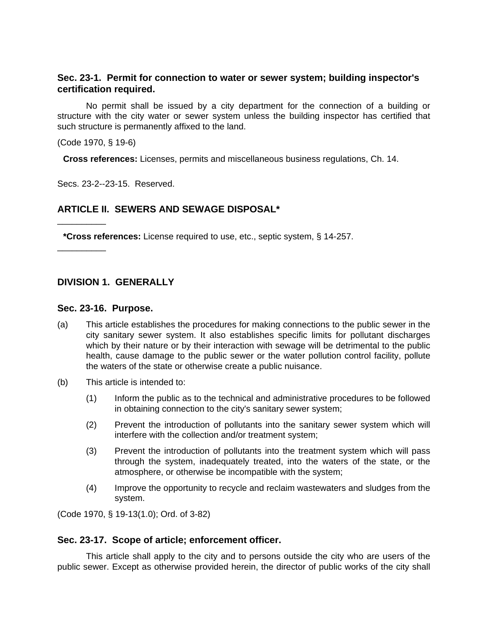# **Sec. 23-1. Permit for connection to water or sewer system; building inspector's certification required.**

No permit shall be issued by a city department for the connection of a building or structure with the city water or sewer system unless the building inspector has certified that such structure is permanently affixed to the land.

(Code 1970, § 19-6)

\_\_\_\_\_\_\_\_\_\_

\_\_\_\_\_\_\_\_\_\_

**Cross references:** Licenses, permits and miscellaneous business regulations, Ch. 14.

Secs. 23-2--23-15. Reserved.

# **ARTICLE II. SEWERS AND SEWAGE DISPOSAL\***

**\*Cross references:** License required to use, etc., septic system, § 14-257.

# **DIVISION 1. GENERALLY**

#### **Sec. 23-16. Purpose.**

- (a) This article establishes the procedures for making connections to the public sewer in the city sanitary sewer system. It also establishes specific limits for pollutant discharges which by their nature or by their interaction with sewage will be detrimental to the public health, cause damage to the public sewer or the water pollution control facility, pollute the waters of the state or otherwise create a public nuisance.
- (b) This article is intended to:
	- (1) Inform the public as to the technical and administrative procedures to be followed in obtaining connection to the city's sanitary sewer system;
	- (2) Prevent the introduction of pollutants into the sanitary sewer system which will interfere with the collection and/or treatment system;
	- (3) Prevent the introduction of pollutants into the treatment system which will pass through the system, inadequately treated, into the waters of the state, or the atmosphere, or otherwise be incompatible with the system;
	- (4) Improve the opportunity to recycle and reclaim wastewaters and sludges from the system.

(Code 1970, § 19-13(1.0); Ord. of 3-82)

## **Sec. 23-17. Scope of article; enforcement officer.**

This article shall apply to the city and to persons outside the city who are users of the public sewer. Except as otherwise provided herein, the director of public works of the city shall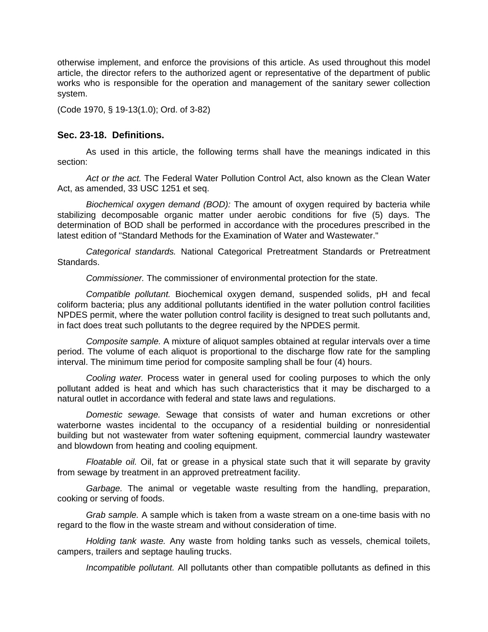otherwise implement, and enforce the provisions of this article. As used throughout this model article, the director refers to the authorized agent or representative of the department of public works who is responsible for the operation and management of the sanitary sewer collection system.

(Code 1970, § 19-13(1.0); Ord. of 3-82)

## **Sec. 23-18. Definitions.**

As used in this article, the following terms shall have the meanings indicated in this section:

*Act or the act.* The Federal Water Pollution Control Act, also known as the Clean Water Act, as amended, 33 USC 1251 et seq.

*Biochemical oxygen demand (BOD):* The amount of oxygen required by bacteria while stabilizing decomposable organic matter under aerobic conditions for five (5) days. The determination of BOD shall be performed in accordance with the procedures prescribed in the latest edition of "Standard Methods for the Examination of Water and Wastewater."

*Categorical standards.* National Categorical Pretreatment Standards or Pretreatment Standards.

*Commissioner.* The commissioner of environmental protection for the state.

*Compatible pollutant.* Biochemical oxygen demand, suspended solids, pH and fecal coliform bacteria; plus any additional pollutants identified in the water pollution control facilities NPDES permit, where the water pollution control facility is designed to treat such pollutants and, in fact does treat such pollutants to the degree required by the NPDES permit.

*Composite sample.* A mixture of aliquot samples obtained at regular intervals over a time period. The volume of each aliquot is proportional to the discharge flow rate for the sampling interval. The minimum time period for composite sampling shall be four (4) hours.

*Cooling water.* Process water in general used for cooling purposes to which the only pollutant added is heat and which has such characteristics that it may be discharged to a natural outlet in accordance with federal and state laws and regulations.

*Domestic sewage.* Sewage that consists of water and human excretions or other waterborne wastes incidental to the occupancy of a residential building or nonresidential building but not wastewater from water softening equipment, commercial laundry wastewater and blowdown from heating and cooling equipment.

*Floatable oil.* Oil, fat or grease in a physical state such that it will separate by gravity from sewage by treatment in an approved pretreatment facility.

*Garbage.* The animal or vegetable waste resulting from the handling, preparation, cooking or serving of foods.

*Grab sample.* A sample which is taken from a waste stream on a one-time basis with no regard to the flow in the waste stream and without consideration of time.

*Holding tank waste.* Any waste from holding tanks such as vessels, chemical toilets, campers, trailers and septage hauling trucks.

*Incompatible pollutant.* All pollutants other than compatible pollutants as defined in this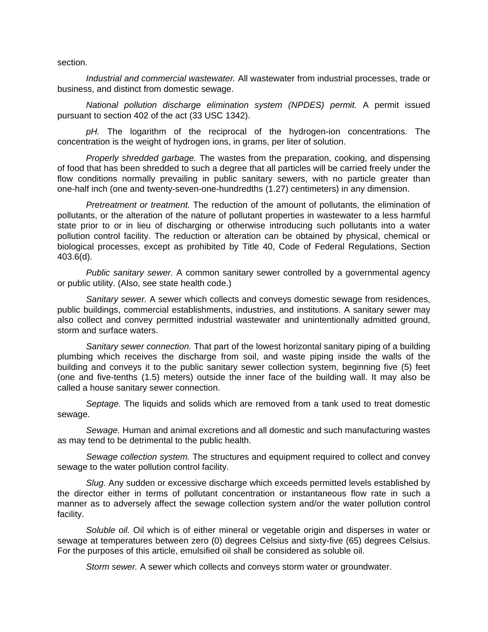section.

*Industrial and commercial wastewater.* All wastewater from industrial processes, trade or business, and distinct from domestic sewage.

*National pollution discharge elimination system (NPDES) permit.* A permit issued pursuant to section 402 of the act (33 USC 1342).

*pH.* The logarithm of the reciprocal of the hydrogen-ion concentrations. The concentration is the weight of hydrogen ions, in grams, per liter of solution.

*Properly shredded garbage.* The wastes from the preparation, cooking, and dispensing of food that has been shredded to such a degree that all particles will be carried freely under the flow conditions normally prevailing in public sanitary sewers, with no particle greater than one-half inch (one and twenty-seven-one-hundredths (1.27) centimeters) in any dimension.

*Pretreatment or treatment.* The reduction of the amount of pollutants, the elimination of pollutants, or the alteration of the nature of pollutant properties in wastewater to a less harmful state prior to or in lieu of discharging or otherwise introducing such pollutants into a water pollution control facility. The reduction or alteration can be obtained by physical, chemical or biological processes, except as prohibited by Title 40, Code of Federal Regulations, Section 403.6(d).

*Public sanitary sewer.* A common sanitary sewer controlled by a governmental agency or public utility. (Also, see state health code.)

*Sanitary sewer.* A sewer which collects and conveys domestic sewage from residences, public buildings, commercial establishments, industries, and institutions. A sanitary sewer may also collect and convey permitted industrial wastewater and unintentionally admitted ground, storm and surface waters.

*Sanitary sewer connection.* That part of the lowest horizontal sanitary piping of a building plumbing which receives the discharge from soil, and waste piping inside the walls of the building and conveys it to the public sanitary sewer collection system, beginning five (5) feet (one and five-tenths (1.5) meters) outside the inner face of the building wall. It may also be called a house sanitary sewer connection.

*Septage.* The liquids and solids which are removed from a tank used to treat domestic sewage.

*Sewage.* Human and animal excretions and all domestic and such manufacturing wastes as may tend to be detrimental to the public health.

*Sewage collection system.* The structures and equipment required to collect and convey sewage to the water pollution control facility.

*Slug.* Any sudden or excessive discharge which exceeds permitted levels established by the director either in terms of pollutant concentration or instantaneous flow rate in such a manner as to adversely affect the sewage collection system and/or the water pollution control facility.

*Soluble oil.* Oil which is of either mineral or vegetable origin and disperses in water or sewage at temperatures between zero (0) degrees Celsius and sixty-five (65) degrees Celsius. For the purposes of this article, emulsified oil shall be considered as soluble oil.

Storm sewer. A sewer which collects and conveys storm water or groundwater.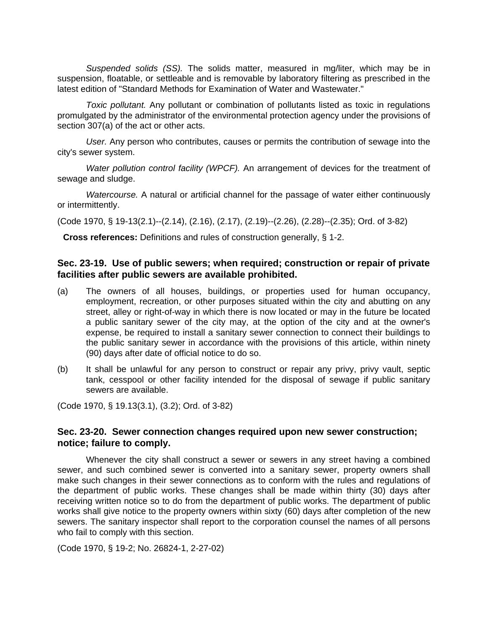*Suspended solids (SS).* The solids matter, measured in mg/liter, which may be in suspension, floatable, or settleable and is removable by laboratory filtering as prescribed in the latest edition of "Standard Methods for Examination of Water and Wastewater."

*Toxic pollutant.* Any pollutant or combination of pollutants listed as toxic in regulations promulgated by the administrator of the environmental protection agency under the provisions of section 307(a) of the act or other acts.

*User.* Any person who contributes, causes or permits the contribution of sewage into the city's sewer system.

*Water pollution control facility (WPCF).* An arrangement of devices for the treatment of sewage and sludge.

*Watercourse.* A natural or artificial channel for the passage of water either continuously or intermittently.

(Code 1970, § 19-13(2.1)--(2.14), (2.16), (2.17), (2.19)--(2.26), (2.28)--(2.35); Ord. of 3-82)

**Cross references:** Definitions and rules of construction generally, § 1-2.

# **Sec. 23-19. Use of public sewers; when required; construction or repair of private facilities after public sewers are available prohibited.**

- (a) The owners of all houses, buildings, or properties used for human occupancy, employment, recreation, or other purposes situated within the city and abutting on any street, alley or right-of-way in which there is now located or may in the future be located a public sanitary sewer of the city may, at the option of the city and at the owner's expense, be required to install a sanitary sewer connection to connect their buildings to the public sanitary sewer in accordance with the provisions of this article, within ninety (90) days after date of official notice to do so.
- (b) It shall be unlawful for any person to construct or repair any privy, privy vault, septic tank, cesspool or other facility intended for the disposal of sewage if public sanitary sewers are available.

(Code 1970, § 19.13(3.1), (3.2); Ord. of 3-82)

# **Sec. 23-20. Sewer connection changes required upon new sewer construction; notice; failure to comply.**

Whenever the city shall construct a sewer or sewers in any street having a combined sewer, and such combined sewer is converted into a sanitary sewer, property owners shall make such changes in their sewer connections as to conform with the rules and regulations of the department of public works. These changes shall be made within thirty (30) days after receiving written notice so to do from the department of public works. The department of public works shall give notice to the property owners within sixty (60) days after completion of the new sewers. The sanitary inspector shall report to the corporation counsel the names of all persons who fail to comply with this section.

(Code 1970, § 19-2; No. 26824-1, 2-27-02)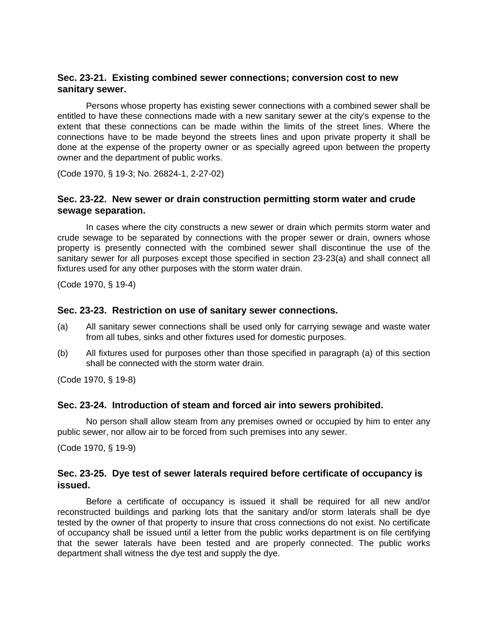# **Sec. 23-21. Existing combined sewer connections; conversion cost to new sanitary sewer.**

Persons whose property has existing sewer connections with a combined sewer shall be entitled to have these connections made with a new sanitary sewer at the city's expense to the extent that these connections can be made within the limits of the street lines. Where the connections have to be made beyond the streets lines and upon private property it shall be done at the expense of the property owner or as specially agreed upon between the property owner and the department of public works.

(Code 1970, § 19-3; No. 26824-1, 2-27-02)

# **Sec. 23-22. New sewer or drain construction permitting storm water and crude sewage separation.**

In cases where the city constructs a new sewer or drain which permits storm water and crude sewage to be separated by connections with the proper sewer or drain, owners whose property is presently connected with the combined sewer shall discontinue the use of the sanitary sewer for all purposes except those specified in section 23-23(a) and shall connect all fixtures used for any other purposes with the storm water drain.

(Code 1970, § 19-4)

#### **Sec. 23-23. Restriction on use of sanitary sewer connections.**

- (a) All sanitary sewer connections shall be used only for carrying sewage and waste water from all tubes, sinks and other fixtures used for domestic purposes.
- (b) All fixtures used for purposes other than those specified in paragraph (a) of this section shall be connected with the storm water drain.

(Code 1970, § 19-8)

#### **Sec. 23-24. Introduction of steam and forced air into sewers prohibited.**

No person shall allow steam from any premises owned or occupied by him to enter any public sewer, nor allow air to be forced from such premises into any sewer.

(Code 1970, § 19-9)

## **Sec. 23-25. Dye test of sewer laterals required before certificate of occupancy is issued.**

Before a certificate of occupancy is issued it shall be required for all new and/or reconstructed buildings and parking lots that the sanitary and/or storm laterals shall be dye tested by the owner of that property to insure that cross connections do not exist. No certificate of occupancy shall be issued until a letter from the public works department is on file certifying that the sewer laterals have been tested and are properly connected. The public works department shall witness the dye test and supply the dye.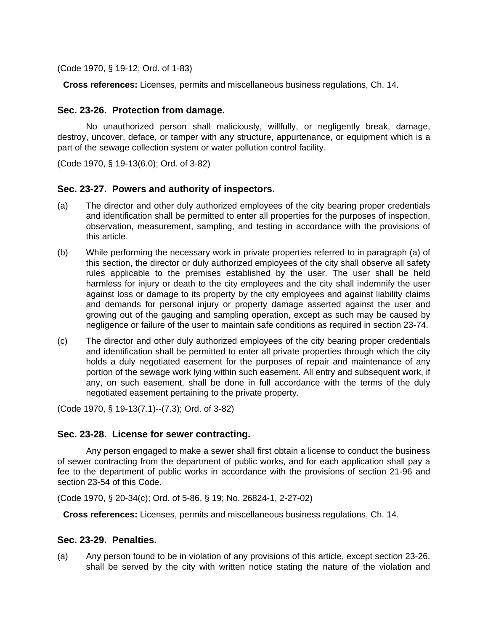(Code 1970, § 19-12; Ord. of 1-83)

**Cross references:** Licenses, permits and miscellaneous business regulations, Ch. 14.

# **Sec. 23-26. Protection from damage.**

No unauthorized person shall maliciously, willfully, or negligently break, damage, destroy, uncover, deface, or tamper with any structure, appurtenance, or equipment which is a part of the sewage collection system or water pollution control facility.

(Code 1970, § 19-13(6.0); Ord. of 3-82)

# **Sec. 23-27. Powers and authority of inspectors.**

- (a) The director and other duly authorized employees of the city bearing proper credentials and identification shall be permitted to enter all properties for the purposes of inspection, observation, measurement, sampling, and testing in accordance with the provisions of this article.
- (b) While performing the necessary work in private properties referred to in paragraph (a) of this section, the director or duly authorized employees of the city shall observe all safety rules applicable to the premises established by the user. The user shall be held harmless for injury or death to the city employees and the city shall indemnify the user against loss or damage to its property by the city employees and against liability claims and demands for personal injury or property damage asserted against the user and growing out of the gauging and sampling operation, except as such may be caused by negligence or failure of the user to maintain safe conditions as required in section 23-74.
- (c) The director and other duly authorized employees of the city bearing proper credentials and identification shall be permitted to enter all private properties through which the city holds a duly negotiated easement for the purposes of repair and maintenance of any portion of the sewage work lying within such easement. All entry and subsequent work, if any, on such easement, shall be done in full accordance with the terms of the duly negotiated easement pertaining to the private property.

(Code 1970, § 19-13(7.1)--(7.3); Ord. of 3-82)

## **Sec. 23-28. License for sewer contracting.**

Any person engaged to make a sewer shall first obtain a license to conduct the business of sewer contracting from the department of public works, and for each application shall pay a fee to the department of public works in accordance with the provisions of section 21-96 and section 23-54 of this Code.

(Code 1970, § 20-34(c); Ord. of 5-86, § 19; No. 26824-1, 2-27-02)

**Cross references:** Licenses, permits and miscellaneous business regulations, Ch. 14.

## **Sec. 23-29. Penalties.**

(a) Any person found to be in violation of any provisions of this article, except section 23-26, shall be served by the city with written notice stating the nature of the violation and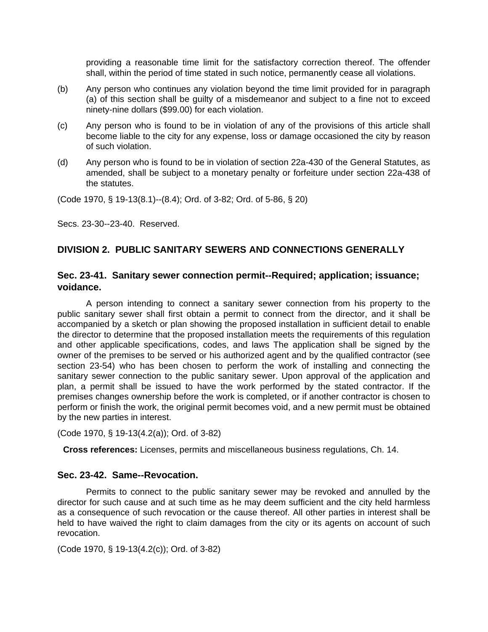providing a reasonable time limit for the satisfactory correction thereof. The offender shall, within the period of time stated in such notice, permanently cease all violations.

- (b) Any person who continues any violation beyond the time limit provided for in paragraph (a) of this section shall be guilty of a misdemeanor and subject to a fine not to exceed ninety-nine dollars (\$99.00) for each violation.
- (c) Any person who is found to be in violation of any of the provisions of this article shall become liable to the city for any expense, loss or damage occasioned the city by reason of such violation.
- (d) Any person who is found to be in violation of section 22a-430 of the General Statutes, as amended, shall be subject to a monetary penalty or forfeiture under section 22a-438 of the statutes.

(Code 1970, § 19-13(8.1)--(8.4); Ord. of 3-82; Ord. of 5-86, § 20)

Secs. 23-30--23-40. Reserved.

# **DIVISION 2. PUBLIC SANITARY SEWERS AND CONNECTIONS GENERALLY**

# **Sec. 23-41. Sanitary sewer connection permit--Required; application; issuance; voidance.**

A person intending to connect a sanitary sewer connection from his property to the public sanitary sewer shall first obtain a permit to connect from the director, and it shall be accompanied by a sketch or plan showing the proposed installation in sufficient detail to enable the director to determine that the proposed installation meets the requirements of this regulation and other applicable specifications, codes, and laws The application shall be signed by the owner of the premises to be served or his authorized agent and by the qualified contractor (see section 23-54) who has been chosen to perform the work of installing and connecting the sanitary sewer connection to the public sanitary sewer. Upon approval of the application and plan, a permit shall be issued to have the work performed by the stated contractor. If the premises changes ownership before the work is completed, or if another contractor is chosen to perform or finish the work, the original permit becomes void, and a new permit must be obtained by the new parties in interest.

(Code 1970, § 19-13(4.2(a)); Ord. of 3-82)

**Cross references:** Licenses, permits and miscellaneous business regulations, Ch. 14.

## **Sec. 23-42. Same--Revocation.**

Permits to connect to the public sanitary sewer may be revoked and annulled by the director for such cause and at such time as he may deem sufficient and the city held harmless as a consequence of such revocation or the cause thereof. All other parties in interest shall be held to have waived the right to claim damages from the city or its agents on account of such revocation.

(Code 1970, § 19-13(4.2(c)); Ord. of 3-82)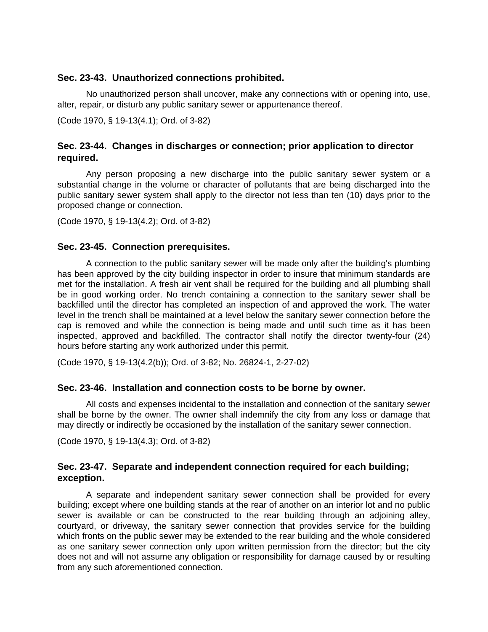#### **Sec. 23-43. Unauthorized connections prohibited.**

No unauthorized person shall uncover, make any connections with or opening into, use, alter, repair, or disturb any public sanitary sewer or appurtenance thereof.

(Code 1970, § 19-13(4.1); Ord. of 3-82)

# **Sec. 23-44. Changes in discharges or connection; prior application to director required.**

Any person proposing a new discharge into the public sanitary sewer system or a substantial change in the volume or character of pollutants that are being discharged into the public sanitary sewer system shall apply to the director not less than ten (10) days prior to the proposed change or connection.

(Code 1970, § 19-13(4.2); Ord. of 3-82)

#### **Sec. 23-45. Connection prerequisites.**

A connection to the public sanitary sewer will be made only after the building's plumbing has been approved by the city building inspector in order to insure that minimum standards are met for the installation. A fresh air vent shall be required for the building and all plumbing shall be in good working order. No trench containing a connection to the sanitary sewer shall be backfilled until the director has completed an inspection of and approved the work. The water level in the trench shall be maintained at a level below the sanitary sewer connection before the cap is removed and while the connection is being made and until such time as it has been inspected, approved and backfilled. The contractor shall notify the director twenty-four (24) hours before starting any work authorized under this permit.

(Code 1970, § 19-13(4.2(b)); Ord. of 3-82; No. 26824-1, 2-27-02)

#### **Sec. 23-46. Installation and connection costs to be borne by owner.**

All costs and expenses incidental to the installation and connection of the sanitary sewer shall be borne by the owner. The owner shall indemnify the city from any loss or damage that may directly or indirectly be occasioned by the installation of the sanitary sewer connection.

(Code 1970, § 19-13(4.3); Ord. of 3-82)

## **Sec. 23-47. Separate and independent connection required for each building; exception.**

A separate and independent sanitary sewer connection shall be provided for every building; except where one building stands at the rear of another on an interior lot and no public sewer is available or can be constructed to the rear building through an adjoining alley, courtyard, or driveway, the sanitary sewer connection that provides service for the building which fronts on the public sewer may be extended to the rear building and the whole considered as one sanitary sewer connection only upon written permission from the director; but the city does not and will not assume any obligation or responsibility for damage caused by or resulting from any such aforementioned connection.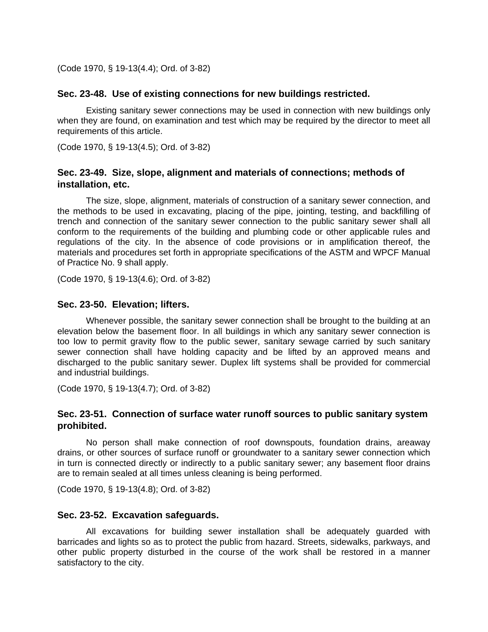(Code 1970, § 19-13(4.4); Ord. of 3-82)

#### **Sec. 23-48. Use of existing connections for new buildings restricted.**

Existing sanitary sewer connections may be used in connection with new buildings only when they are found, on examination and test which may be required by the director to meet all requirements of this article.

(Code 1970, § 19-13(4.5); Ord. of 3-82)

# **Sec. 23-49. Size, slope, alignment and materials of connections; methods of installation, etc.**

The size, slope, alignment, materials of construction of a sanitary sewer connection, and the methods to be used in excavating, placing of the pipe, jointing, testing, and backfilling of trench and connection of the sanitary sewer connection to the public sanitary sewer shall all conform to the requirements of the building and plumbing code or other applicable rules and regulations of the city. In the absence of code provisions or in amplification thereof, the materials and procedures set forth in appropriate specifications of the ASTM and WPCF Manual of Practice No. 9 shall apply.

(Code 1970, § 19-13(4.6); Ord. of 3-82)

#### **Sec. 23-50. Elevation; lifters.**

Whenever possible, the sanitary sewer connection shall be brought to the building at an elevation below the basement floor. In all buildings in which any sanitary sewer connection is too low to permit gravity flow to the public sewer, sanitary sewage carried by such sanitary sewer connection shall have holding capacity and be lifted by an approved means and discharged to the public sanitary sewer. Duplex lift systems shall be provided for commercial and industrial buildings.

(Code 1970, § 19-13(4.7); Ord. of 3-82)

# **Sec. 23-51. Connection of surface water runoff sources to public sanitary system prohibited.**

No person shall make connection of roof downspouts, foundation drains, areaway drains, or other sources of surface runoff or groundwater to a sanitary sewer connection which in turn is connected directly or indirectly to a public sanitary sewer; any basement floor drains are to remain sealed at all times unless cleaning is being performed.

(Code 1970, § 19-13(4.8); Ord. of 3-82)

#### **Sec. 23-52. Excavation safeguards.**

All excavations for building sewer installation shall be adequately guarded with barricades and lights so as to protect the public from hazard. Streets, sidewalks, parkways, and other public property disturbed in the course of the work shall be restored in a manner satisfactory to the city.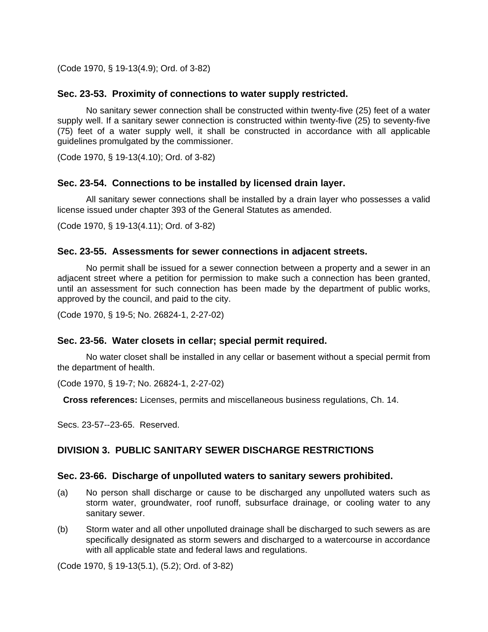(Code 1970, § 19-13(4.9); Ord. of 3-82)

#### **Sec. 23-53. Proximity of connections to water supply restricted.**

No sanitary sewer connection shall be constructed within twenty-five (25) feet of a water supply well. If a sanitary sewer connection is constructed within twenty-five (25) to seventy-five (75) feet of a water supply well, it shall be constructed in accordance with all applicable guidelines promulgated by the commissioner.

(Code 1970, § 19-13(4.10); Ord. of 3-82)

#### **Sec. 23-54. Connections to be installed by licensed drain layer.**

All sanitary sewer connections shall be installed by a drain layer who possesses a valid license issued under chapter 393 of the General Statutes as amended.

(Code 1970, § 19-13(4.11); Ord. of 3-82)

#### **Sec. 23-55. Assessments for sewer connections in adjacent streets.**

No permit shall be issued for a sewer connection between a property and a sewer in an adjacent street where a petition for permission to make such a connection has been granted, until an assessment for such connection has been made by the department of public works, approved by the council, and paid to the city.

(Code 1970, § 19-5; No. 26824-1, 2-27-02)

#### **Sec. 23-56. Water closets in cellar; special permit required.**

No water closet shall be installed in any cellar or basement without a special permit from the department of health.

(Code 1970, § 19-7; No. 26824-1, 2-27-02)

**Cross references:** Licenses, permits and miscellaneous business regulations, Ch. 14.

Secs. 23-57--23-65. Reserved.

## **DIVISION 3. PUBLIC SANITARY SEWER DISCHARGE RESTRICTIONS**

#### **Sec. 23-66. Discharge of unpolluted waters to sanitary sewers prohibited.**

- (a) No person shall discharge or cause to be discharged any unpolluted waters such as storm water, groundwater, roof runoff, subsurface drainage, or cooling water to any sanitary sewer.
- (b) Storm water and all other unpolluted drainage shall be discharged to such sewers as are specifically designated as storm sewers and discharged to a watercourse in accordance with all applicable state and federal laws and regulations.

(Code 1970, § 19-13(5.1), (5.2); Ord. of 3-82)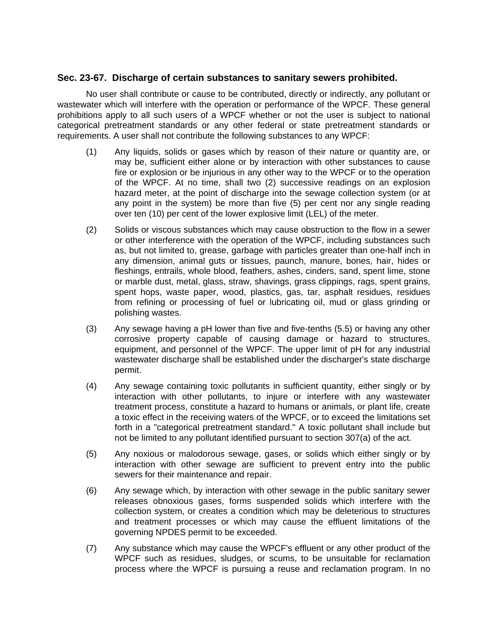#### **Sec. 23-67. Discharge of certain substances to sanitary sewers prohibited.**

No user shall contribute or cause to be contributed, directly or indirectly, any pollutant or wastewater which will interfere with the operation or performance of the WPCF. These general prohibitions apply to all such users of a WPCF whether or not the user is subject to national categorical pretreatment standards or any other federal or state pretreatment standards or requirements. A user shall not contribute the following substances to any WPCF:

- (1) Any liquids, solids or gases which by reason of their nature or quantity are, or may be, sufficient either alone or by interaction with other substances to cause fire or explosion or be injurious in any other way to the WPCF or to the operation of the WPCF. At no time, shall two (2) successive readings on an explosion hazard meter, at the point of discharge into the sewage collection system (or at any point in the system) be more than five (5) per cent nor any single reading over ten (10) per cent of the lower explosive limit (LEL) of the meter.
- (2) Solids or viscous substances which may cause obstruction to the flow in a sewer or other interference with the operation of the WPCF, including substances such as, but not limited to, grease, garbage with particles greater than one-half inch in any dimension, animal guts or tissues, paunch, manure, bones, hair, hides or fleshings, entrails, whole blood, feathers, ashes, cinders, sand, spent lime, stone or marble dust, metal, glass, straw, shavings, grass clippings, rags, spent grains, spent hops, waste paper, wood, plastics, gas, tar, asphalt residues, residues from refining or processing of fuel or lubricating oil, mud or glass grinding or polishing wastes.
- (3) Any sewage having a pH lower than five and five-tenths (5.5) or having any other corrosive property capable of causing damage or hazard to structures, equipment, and personnel of the WPCF. The upper limit of pH for any industrial wastewater discharge shall be established under the discharger's state discharge permit.
- (4) Any sewage containing toxic pollutants in sufficient quantity, either singly or by interaction with other pollutants, to injure or interfere with any wastewater treatment process, constitute a hazard to humans or animals, or plant life, create a toxic effect in the receiving waters of the WPCF, or to exceed the limitations set forth in a "categorical pretreatment standard." A toxic pollutant shall include but not be limited to any pollutant identified pursuant to section 307(a) of the act.
- (5) Any noxious or malodorous sewage, gases, or solids which either singly or by interaction with other sewage are sufficient to prevent entry into the public sewers for their maintenance and repair.
- (6) Any sewage which, by interaction with other sewage in the public sanitary sewer releases obnoxious gases, forms suspended solids which interfere with the collection system, or creates a condition which may be deleterious to structures and treatment processes or which may cause the effluent limitations of the governing NPDES permit to be exceeded.
- (7) Any substance which may cause the WPCF's effluent or any other product of the WPCF such as residues, sludges, or scums, to be unsuitable for reclamation process where the WPCF is pursuing a reuse and reclamation program. In no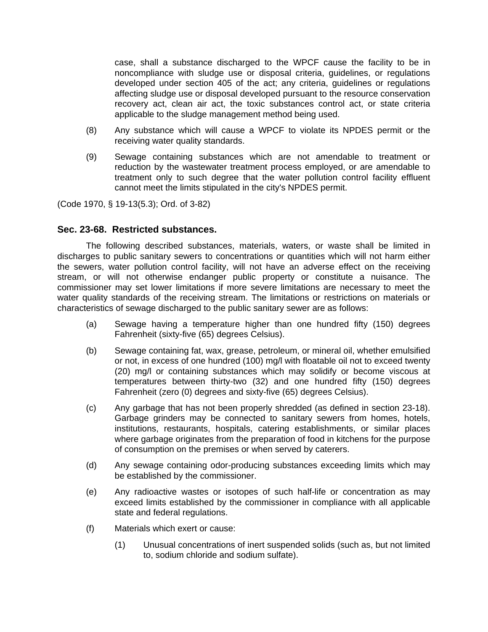case, shall a substance discharged to the WPCF cause the facility to be in noncompliance with sludge use or disposal criteria, guidelines, or regulations developed under section 405 of the act; any criteria, guidelines or regulations affecting sludge use or disposal developed pursuant to the resource conservation recovery act, clean air act, the toxic substances control act, or state criteria applicable to the sludge management method being used.

- (8) Any substance which will cause a WPCF to violate its NPDES permit or the receiving water quality standards.
- (9) Sewage containing substances which are not amendable to treatment or reduction by the wastewater treatment process employed, or are amendable to treatment only to such degree that the water pollution control facility effluent cannot meet the limits stipulated in the city's NPDES permit.

(Code 1970, § 19-13(5.3); Ord. of 3-82)

# **Sec. 23-68. Restricted substances.**

The following described substances, materials, waters, or waste shall be limited in discharges to public sanitary sewers to concentrations or quantities which will not harm either the sewers, water pollution control facility, will not have an adverse effect on the receiving stream, or will not otherwise endanger public property or constitute a nuisance. The commissioner may set lower limitations if more severe limitations are necessary to meet the water quality standards of the receiving stream. The limitations or restrictions on materials or characteristics of sewage discharged to the public sanitary sewer are as follows:

- (a) Sewage having a temperature higher than one hundred fifty (150) degrees Fahrenheit (sixty-five (65) degrees Celsius).
- (b) Sewage containing fat, wax, grease, petroleum, or mineral oil, whether emulsified or not, in excess of one hundred (100) mg/l with floatable oil not to exceed twenty (20) mg/l or containing substances which may solidify or become viscous at temperatures between thirty-two (32) and one hundred fifty (150) degrees Fahrenheit (zero (0) degrees and sixty-five (65) degrees Celsius).
- (c) Any garbage that has not been properly shredded (as defined in section 23-18). Garbage grinders may be connected to sanitary sewers from homes, hotels, institutions, restaurants, hospitals, catering establishments, or similar places where garbage originates from the preparation of food in kitchens for the purpose of consumption on the premises or when served by caterers.
- (d) Any sewage containing odor-producing substances exceeding limits which may be established by the commissioner.
- (e) Any radioactive wastes or isotopes of such half-life or concentration as may exceed limits established by the commissioner in compliance with all applicable state and federal regulations.
- (f) Materials which exert or cause:
	- (1) Unusual concentrations of inert suspended solids (such as, but not limited to, sodium chloride and sodium sulfate).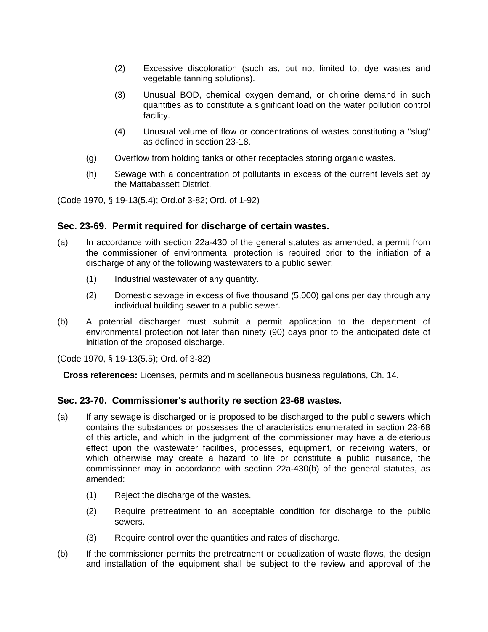- (2) Excessive discoloration (such as, but not limited to, dye wastes and vegetable tanning solutions).
- (3) Unusual BOD, chemical oxygen demand, or chlorine demand in such quantities as to constitute a significant load on the water pollution control facility.
- (4) Unusual volume of flow or concentrations of wastes constituting a "slug" as defined in section 23-18.
- (g) Overflow from holding tanks or other receptacles storing organic wastes.
- (h) Sewage with a concentration of pollutants in excess of the current levels set by the Mattabassett District.

(Code 1970, § 19-13(5.4); Ord.of 3-82; Ord. of 1-92)

## **Sec. 23-69. Permit required for discharge of certain wastes.**

- (a) In accordance with section 22a-430 of the general statutes as amended, a permit from the commissioner of environmental protection is required prior to the initiation of a discharge of any of the following wastewaters to a public sewer:
	- (1) Industrial wastewater of any quantity.
	- (2) Domestic sewage in excess of five thousand (5,000) gallons per day through any individual building sewer to a public sewer.
- (b) A potential discharger must submit a permit application to the department of environmental protection not later than ninety (90) days prior to the anticipated date of initiation of the proposed discharge.

(Code 1970, § 19-13(5.5); Ord. of 3-82)

**Cross references:** Licenses, permits and miscellaneous business regulations, Ch. 14.

## **Sec. 23-70. Commissioner's authority re section 23-68 wastes.**

- (a) If any sewage is discharged or is proposed to be discharged to the public sewers which contains the substances or possesses the characteristics enumerated in section 23-68 of this article, and which in the judgment of the commissioner may have a deleterious effect upon the wastewater facilities, processes, equipment, or receiving waters, or which otherwise may create a hazard to life or constitute a public nuisance, the commissioner may in accordance with section 22a-430(b) of the general statutes, as amended:
	- (1) Reject the discharge of the wastes.
	- (2) Require pretreatment to an acceptable condition for discharge to the public sewers.
	- (3) Require control over the quantities and rates of discharge.
- (b) If the commissioner permits the pretreatment or equalization of waste flows, the design and installation of the equipment shall be subject to the review and approval of the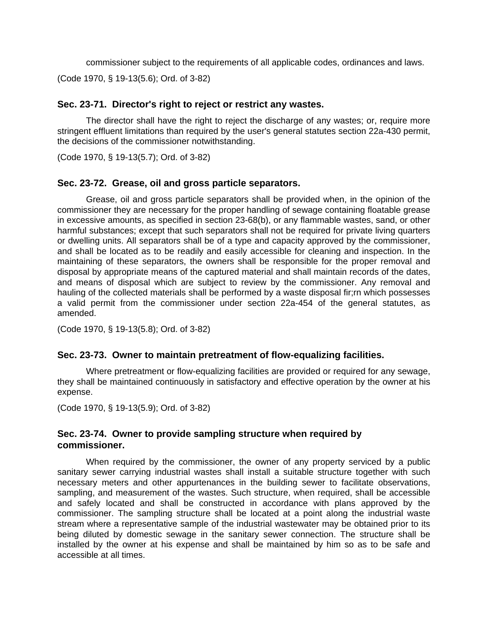commissioner subject to the requirements of all applicable codes, ordinances and laws. (Code 1970, § 19-13(5.6); Ord. of 3-82)

# **Sec. 23-71. Director's right to reject or restrict any wastes.**

The director shall have the right to reject the discharge of any wastes; or, require more stringent effluent limitations than required by the user's general statutes section 22a-430 permit, the decisions of the commissioner notwithstanding.

(Code 1970, § 19-13(5.7); Ord. of 3-82)

## **Sec. 23-72. Grease, oil and gross particle separators.**

Grease, oil and gross particle separators shall be provided when, in the opinion of the commissioner they are necessary for the proper handling of sewage containing floatable grease in excessive amounts, as specified in section 23-68(b), or any flammable wastes, sand, or other harmful substances; except that such separators shall not be required for private living quarters or dwelling units. All separators shall be of a type and capacity approved by the commissioner, and shall be located as to be readily and easily accessible for cleaning and inspection. In the maintaining of these separators, the owners shall be responsible for the proper removal and disposal by appropriate means of the captured material and shall maintain records of the dates, and means of disposal which are subject to review by the commissioner. Any removal and hauling of the collected materials shall be performed by a waste disposal fir;rn which possesses a valid permit from the commissioner under section 22a-454 of the general statutes, as amended.

(Code 1970, § 19-13(5.8); Ord. of 3-82)

## **Sec. 23-73. Owner to maintain pretreatment of flow-equalizing facilities.**

Where pretreatment or flow-equalizing facilities are provided or required for any sewage, they shall be maintained continuously in satisfactory and effective operation by the owner at his expense.

(Code 1970, § 19-13(5.9); Ord. of 3-82)

# **Sec. 23-74. Owner to provide sampling structure when required by commissioner.**

When required by the commissioner, the owner of any property serviced by a public sanitary sewer carrying industrial wastes shall install a suitable structure together with such necessary meters and other appurtenances in the building sewer to facilitate observations, sampling, and measurement of the wastes. Such structure, when required, shall be accessible and safely located and shall be constructed in accordance with plans approved by the commissioner. The sampling structure shall be located at a point along the industrial waste stream where a representative sample of the industrial wastewater may be obtained prior to its being diluted by domestic sewage in the sanitary sewer connection. The structure shall be installed by the owner at his expense and shall be maintained by him so as to be safe and accessible at all times.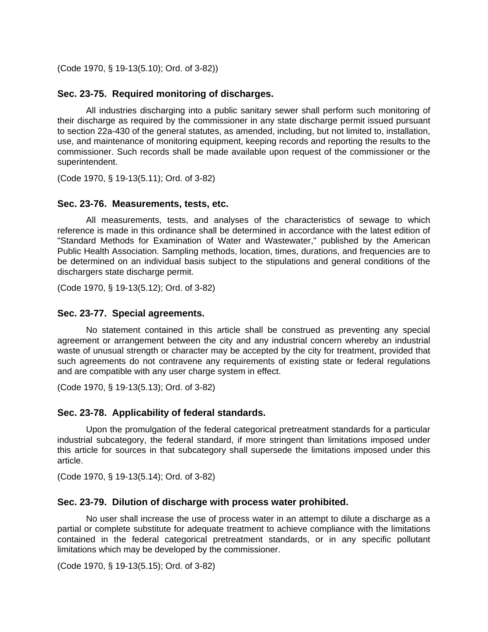(Code 1970, § 19-13(5.10); Ord. of 3-82))

## **Sec. 23-75. Required monitoring of discharges.**

All industries discharging into a public sanitary sewer shall perform such monitoring of their discharge as required by the commissioner in any state discharge permit issued pursuant to section 22a-430 of the general statutes, as amended, including, but not limited to, installation, use, and maintenance of monitoring equipment, keeping records and reporting the results to the commissioner. Such records shall be made available upon request of the commissioner or the superintendent.

(Code 1970, § 19-13(5.11); Ord. of 3-82)

#### **Sec. 23-76. Measurements, tests, etc.**

All measurements, tests, and analyses of the characteristics of sewage to which reference is made in this ordinance shall be determined in accordance with the latest edition of "Standard Methods for Examination of Water and Wastewater," published by the American Public Health Association. Sampling methods, location, times, durations, and frequencies are to be determined on an individual basis subject to the stipulations and general conditions of the dischargers state discharge permit.

(Code 1970, § 19-13(5.12); Ord. of 3-82)

#### **Sec. 23-77. Special agreements.**

No statement contained in this article shall be construed as preventing any special agreement or arrangement between the city and any industrial concern whereby an industrial waste of unusual strength or character may be accepted by the city for treatment, provided that such agreements do not contravene any requirements of existing state or federal regulations and are compatible with any user charge system in effect.

(Code 1970, § 19-13(5.13); Ord. of 3-82)

#### **Sec. 23-78. Applicability of federal standards.**

Upon the promulgation of the federal categorical pretreatment standards for a particular industrial subcategory, the federal standard, if more stringent than limitations imposed under this article for sources in that subcategory shall supersede the limitations imposed under this article.

(Code 1970, § 19-13(5.14); Ord. of 3-82)

#### **Sec. 23-79. Dilution of discharge with process water prohibited.**

No user shall increase the use of process water in an attempt to dilute a discharge as a partial or complete substitute for adequate treatment to achieve compliance with the limitations contained in the federal categorical pretreatment standards, or in any specific pollutant limitations which may be developed by the commissioner.

(Code 1970, § 19-13(5.15); Ord. of 3-82)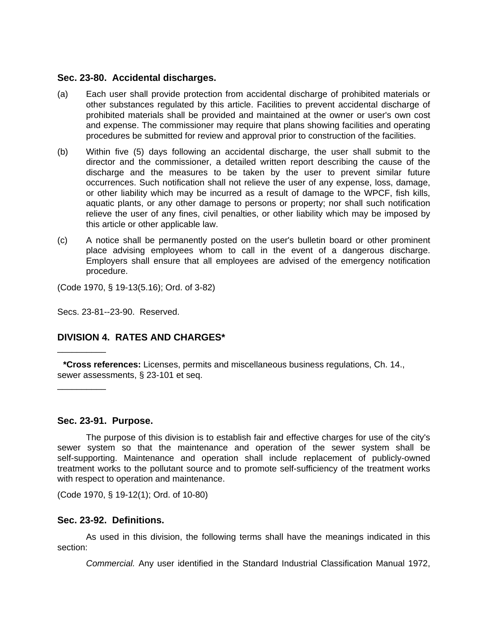#### **Sec. 23-80. Accidental discharges.**

- (a) Each user shall provide protection from accidental discharge of prohibited materials or other substances regulated by this article. Facilities to prevent accidental discharge of prohibited materials shall be provided and maintained at the owner or user's own cost and expense. The commissioner may require that plans showing facilities and operating procedures be submitted for review and approval prior to construction of the facilities.
- (b) Within five (5) days following an accidental discharge, the user shall submit to the director and the commissioner, a detailed written report describing the cause of the discharge and the measures to be taken by the user to prevent similar future occurrences. Such notification shall not relieve the user of any expense, loss, damage, or other liability which may be incurred as a result of damage to the WPCF, fish kills, aquatic plants, or any other damage to persons or property; nor shall such notification relieve the user of any fines, civil penalties, or other liability which may be imposed by this article or other applicable law.
- (c) A notice shall be permanently posted on the user's bulletin board or other prominent place advising employees whom to call in the event of a dangerous discharge. Employers shall ensure that all employees are advised of the emergency notification procedure.

(Code 1970, § 19-13(5.16); Ord. of 3-82)

Secs. 23-81--23-90. Reserved.

# **DIVISION 4. RATES AND CHARGES\***

**\*Cross references:** Licenses, permits and miscellaneous business regulations, Ch. 14., sewer assessments, § 23-101 et seq.

## **Sec. 23-91. Purpose.**

\_\_\_\_\_\_\_\_\_\_

\_\_\_\_\_\_\_\_\_\_

The purpose of this division is to establish fair and effective charges for use of the city's sewer system so that the maintenance and operation of the sewer system shall be self-supporting. Maintenance and operation shall include replacement of publicly-owned treatment works to the pollutant source and to promote self-sufficiency of the treatment works with respect to operation and maintenance.

(Code 1970, § 19-12(1); Ord. of 10-80)

## **Sec. 23-92. Definitions.**

As used in this division, the following terms shall have the meanings indicated in this section:

*Commercial.* Any user identified in the Standard Industrial Classification Manual 1972,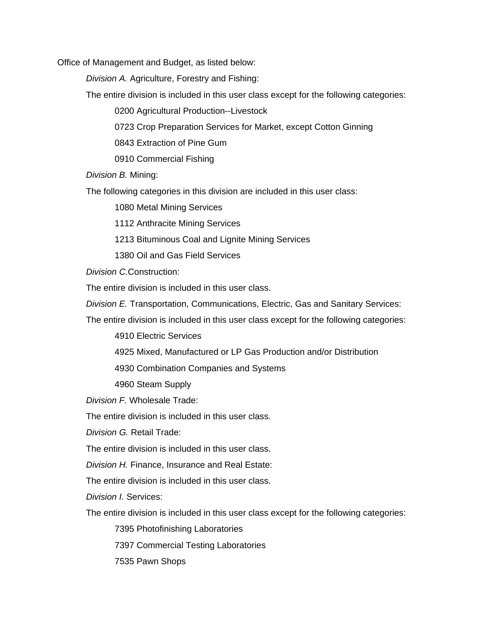Office of Management and Budget, as listed below:

*Division A.* Agriculture, Forestry and Fishing:

The entire division is included in this user class except for the following categories:

0200 Agricultural Production--Livestock

0723 Crop Preparation Services for Market, except Cotton Ginning

0843 Extraction of Pine Gum

0910 Commercial Fishing

*Division B.* Mining:

The following categories in this division are included in this user class:

1080 Metal Mining Services

1112 Anthracite Mining Services

1213 Bituminous Coal and Lignite Mining Services

1380 Oil and Gas Field Services

*Division C.*Construction:

The entire division is included in this user class.

*Division E.* Transportation, Communications, Electric, Gas and Sanitary Services:

The entire division is included in this user class except for the following categories:

4910 Electric Services

4925 Mixed, Manufactured or LP Gas Production and/or Distribution

4930 Combination Companies and Systems

4960 Steam Supply

*Division F.* Wholesale Trade:

The entire division is included in this user class.

*Division G.* Retail Trade:

The entire division is included in this user class.

*Division H.* Finance, Insurance and Real Estate:

The entire division is included in this user class.

*Division I.* Services:

The entire division is included in this user class except for the following categories:

7395 Photofinishing Laboratories

7397 Commercial Testing Laboratories

7535 Pawn Shops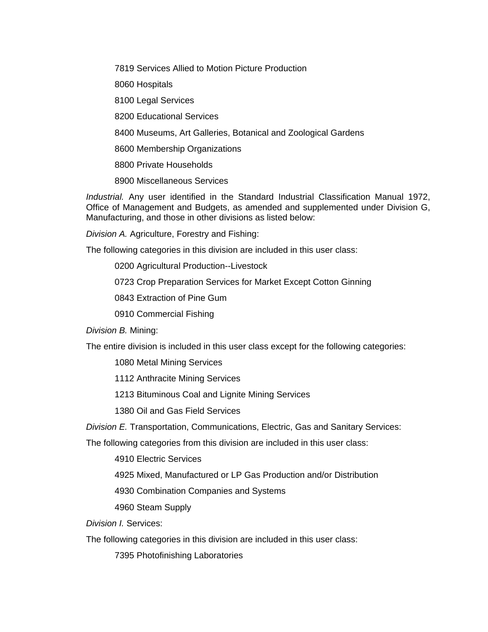7819 Services Allied to Motion Picture Production

8060 Hospitals

8100 Legal Services

8200 Educational Services

8400 Museums, Art Galleries, Botanical and Zoological Gardens

8600 Membership Organizations

8800 Private Households

8900 Miscellaneous Services

*Industrial.* Any user identified in the Standard Industrial Classification Manual 1972, Office of Management and Budgets, as amended and supplemented under Division G, Manufacturing, and those in other divisions as listed below:

*Division A.* Agriculture, Forestry and Fishing:

The following categories in this division are included in this user class:

0200 Agricultural Production--Livestock

0723 Crop Preparation Services for Market Except Cotton Ginning

0843 Extraction of Pine Gum

0910 Commercial Fishing

*Division B.* Mining:

The entire division is included in this user class except for the following categories:

1080 Metal Mining Services

1112 Anthracite Mining Services

1213 Bituminous Coal and Lignite Mining Services

1380 Oil and Gas Field Services

*Division E.* Transportation, Communications, Electric, Gas and Sanitary Services:

The following categories from this division are included in this user class:

4910 Electric Services

4925 Mixed, Manufactured or LP Gas Production and/or Distribution

4930 Combination Companies and Systems

4960 Steam Supply

*Division I.* Services:

The following categories in this division are included in this user class:

7395 Photofinishing Laboratories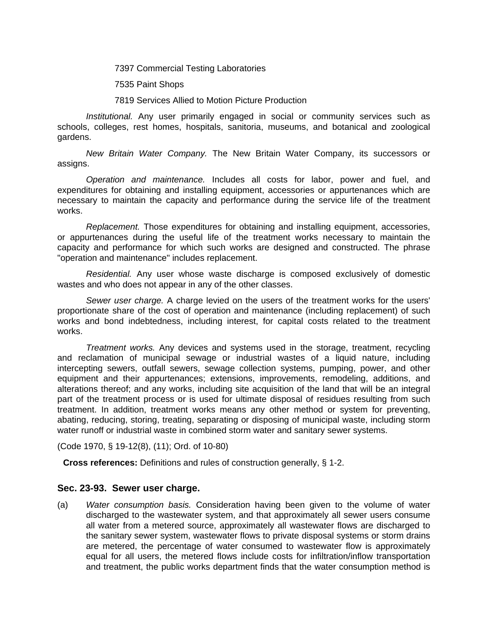7397 Commercial Testing Laboratories

7535 Paint Shops

7819 Services Allied to Motion Picture Production

*Institutional.* Any user primarily engaged in social or community services such as schools, colleges, rest homes, hospitals, sanitoria, museums, and botanical and zoological gardens.

*New Britain Water Company.* The New Britain Water Company, its successors or assigns.

*Operation and maintenance.* Includes all costs for labor, power and fuel, and expenditures for obtaining and installing equipment, accessories or appurtenances which are necessary to maintain the capacity and performance during the service life of the treatment works.

*Replacement.* Those expenditures for obtaining and installing equipment, accessories, or appurtenances during the useful life of the treatment works necessary to maintain the capacity and performance for which such works are designed and constructed. The phrase "operation and maintenance" includes replacement.

*Residential.* Any user whose waste discharge is composed exclusively of domestic wastes and who does not appear in any of the other classes.

*Sewer user charge.* A charge levied on the users of the treatment works for the users' proportionate share of the cost of operation and maintenance (including replacement) of such works and bond indebtedness, including interest, for capital costs related to the treatment works.

*Treatment works.* Any devices and systems used in the storage, treatment, recycling and reclamation of municipal sewage or industrial wastes of a liquid nature, including intercepting sewers, outfall sewers, sewage collection systems, pumping, power, and other equipment and their appurtenances; extensions, improvements, remodeling, additions, and alterations thereof; and any works, including site acquisition of the land that will be an integral part of the treatment process or is used for ultimate disposal of residues resulting from such treatment. In addition, treatment works means any other method or system for preventing, abating, reducing, storing, treating, separating or disposing of municipal waste, including storm water runoff or industrial waste in combined storm water and sanitary sewer systems.

(Code 1970, § 19-12(8), (11); Ord. of 10-80)

**Cross references:** Definitions and rules of construction generally, § 1-2.

#### **Sec. 23-93. Sewer user charge.**

(a) *Water consumption basis.* Consideration having been given to the volume of water discharged to the wastewater system, and that approximately all sewer users consume all water from a metered source, approximately all wastewater flows are discharged to the sanitary sewer system, wastewater flows to private disposal systems or storm drains are metered, the percentage of water consumed to wastewater flow is approximately equal for all users, the metered flows include costs for infiltration/inflow transportation and treatment, the public works department finds that the water consumption method is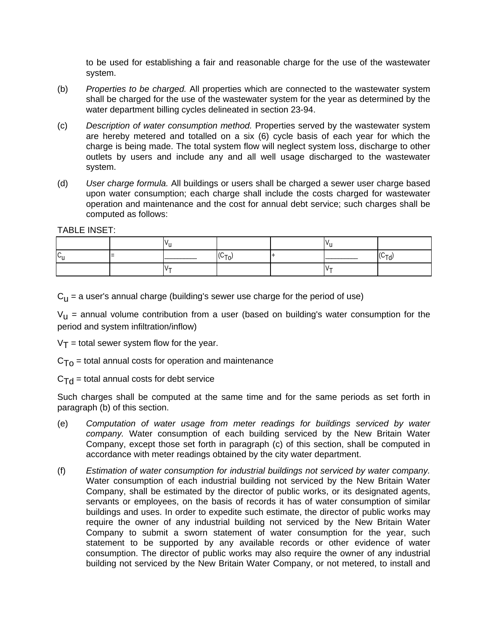to be used for establishing a fair and reasonable charge for the use of the wastewater system.

- (b) *Properties to be charged.* All properties which are connected to the wastewater system shall be charged for the use of the wastewater system for the year as determined by the water department billing cycles delineated in section 23-94.
- (c) *Description of water consumption method.* Properties served by the wastewater system are hereby metered and totalled on a six (6) cycle basis of each year for which the charge is being made. The total system flow will neglect system loss, discharge to other outlets by users and include any and all well usage discharged to the wastewater system.
- (d) *User charge formula.* All buildings or users shall be charged a sewer user charge based upon water consumption; each charge shall include the costs charged for wastewater operation and maintenance and the cost for annual debt service; such charges shall be computed as follows:

TABLE INSET:

| ⊵⊔ |            | $(C_{\tau_0})$ |  | $(C_{\text{Td}})$ |
|----|------------|----------------|--|-------------------|
|    | $V_{\tau}$ |                |  |                   |

 $C_{11}$  = a user's annual charge (building's sewer use charge for the period of use)

 $V_{\text{u}}$  = annual volume contribution from a user (based on building's water consumption for the period and system infiltration/inflow)

 $V_T$  = total sewer system flow for the year.

 $C<sub>To</sub>$  = total annual costs for operation and maintenance

 $C_{\text{Td}}$  = total annual costs for debt service

Such charges shall be computed at the same time and for the same periods as set forth in paragraph (b) of this section.

- (e) *Computation of water usage from meter readings for buildings serviced by water company.* Water consumption of each building serviced by the New Britain Water Company, except those set forth in paragraph (c) of this section, shall be computed in accordance with meter readings obtained by the city water department.
- (f) *Estimation of water consumption for industrial buildings not serviced by water company.* Water consumption of each industrial building not serviced by the New Britain Water Company, shall be estimated by the director of public works, or its designated agents, servants or employees, on the basis of records it has of water consumption of similar buildings and uses. In order to expedite such estimate, the director of public works may require the owner of any industrial building not serviced by the New Britain Water Company to submit a sworn statement of water consumption for the year, such statement to be supported by any available records or other evidence of water consumption. The director of public works may also require the owner of any industrial building not serviced by the New Britain Water Company, or not metered, to install and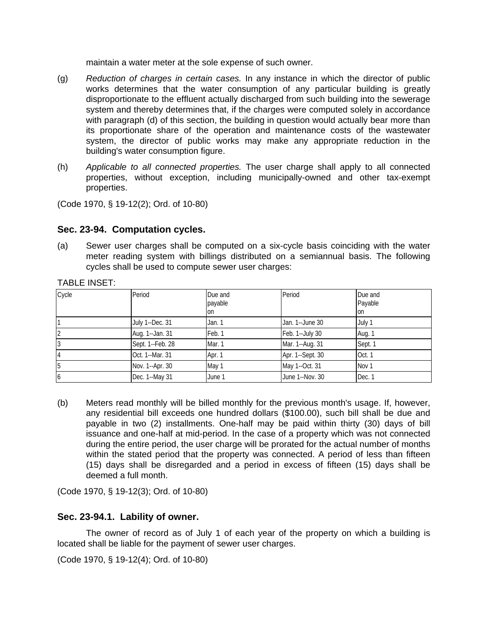maintain a water meter at the sole expense of such owner.

- (g) *Reduction of charges in certain cases.* In any instance in which the director of public works determines that the water consumption of any particular building is greatly disproportionate to the effluent actually discharged from such building into the sewerage system and thereby determines that, if the charges were computed solely in accordance with paragraph (d) of this section, the building in question would actually bear more than its proportionate share of the operation and maintenance costs of the wastewater system, the director of public works may make any appropriate reduction in the building's water consumption figure.
- (h) *Applicable to all connected properties.* The user charge shall apply to all connected properties, without exception, including municipally-owned and other tax-exempt properties.

(Code 1970, § 19-12(2); Ord. of 10-80)

# **Sec. 23-94. Computation cycles.**

(a) Sewer user charges shall be computed on a six-cycle basis coinciding with the water meter reading system with billings distributed on a semiannual basis. The following cycles shall be used to compute sewer user charges:

| Cycle          | Period           | Due and<br>payable<br><b>on</b> | Period           | Due and<br>Payable<br>Ion |  |  |  |
|----------------|------------------|---------------------------------|------------------|---------------------------|--|--|--|
|                | July 1--Dec. 31  | Jan. 1                          | Jan. 1--June 30  | July 1                    |  |  |  |
| $\overline{2}$ | Aug. 1--Jan. 31  | Feb. 1                          | Feb. 1--July 30  | Aug. 1                    |  |  |  |
| 13             | Sept. 1--Feb. 28 | Mar. 1                          | Mar. 1--Aug. 31  | Sept. 1                   |  |  |  |
| $\overline{4}$ | Oct. 1--Mar. 31  | Apr. 1                          | Apr. 1--Sept. 30 | Oct. 1                    |  |  |  |
| 5              | Nov. 1--Apr. 30  | May 1                           | May 1--Oct. 31   | Nov <sub>1</sub>          |  |  |  |
| 6              | Dec. 1--May 31   | June 1                          | June 1--Nov. 30  | Dec. 1                    |  |  |  |

(b) Meters read monthly will be billed monthly for the previous month's usage. If, however, any residential bill exceeds one hundred dollars (\$100.00), such bill shall be due and payable in two (2) installments. One-half may be paid within thirty (30) days of bill issuance and one-half at mid-period. In the case of a property which was not connected during the entire period, the user charge will be prorated for the actual number of months within the stated period that the property was connected. A period of less than fifteen (15) days shall be disregarded and a period in excess of fifteen (15) days shall be deemed a full month.

(Code 1970, § 19-12(3); Ord. of 10-80)

## **Sec. 23-94.1. Lability of owner.**

The owner of record as of July 1 of each year of the property on which a building is located shall be liable for the payment of sewer user charges.

(Code 1970, § 19-12(4); Ord. of 10-80)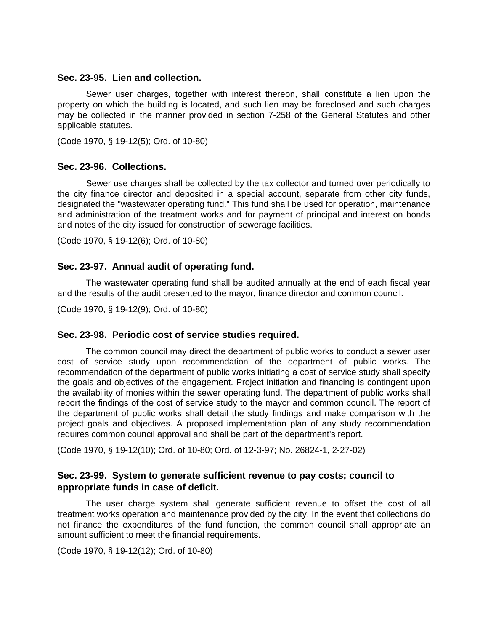#### **Sec. 23-95. Lien and collection.**

Sewer user charges, together with interest thereon, shall constitute a lien upon the property on which the building is located, and such lien may be foreclosed and such charges may be collected in the manner provided in section 7-258 of the General Statutes and other applicable statutes.

(Code 1970, § 19-12(5); Ord. of 10-80)

## **Sec. 23-96. Collections.**

Sewer use charges shall be collected by the tax collector and turned over periodically to the city finance director and deposited in a special account, separate from other city funds, designated the "wastewater operating fund." This fund shall be used for operation, maintenance and administration of the treatment works and for payment of principal and interest on bonds and notes of the city issued for construction of sewerage facilities.

(Code 1970, § 19-12(6); Ord. of 10-80)

## **Sec. 23-97. Annual audit of operating fund.**

The wastewater operating fund shall be audited annually at the end of each fiscal year and the results of the audit presented to the mayor, finance director and common council.

(Code 1970, § 19-12(9); Ord. of 10-80)

## **Sec. 23-98. Periodic cost of service studies required.**

The common council may direct the department of public works to conduct a sewer user cost of service study upon recommendation of the department of public works. The recommendation of the department of public works initiating a cost of service study shall specify the goals and objectives of the engagement. Project initiation and financing is contingent upon the availability of monies within the sewer operating fund. The department of public works shall report the findings of the cost of service study to the mayor and common council. The report of the department of public works shall detail the study findings and make comparison with the project goals and objectives. A proposed implementation plan of any study recommendation requires common council approval and shall be part of the department's report.

(Code 1970, § 19-12(10); Ord. of 10-80; Ord. of 12-3-97; No. 26824-1, 2-27-02)

# **Sec. 23-99. System to generate sufficient revenue to pay costs; council to appropriate funds in case of deficit.**

The user charge system shall generate sufficient revenue to offset the cost of all treatment works operation and maintenance provided by the city. In the event that collections do not finance the expenditures of the fund function, the common council shall appropriate an amount sufficient to meet the financial requirements.

(Code 1970, § 19-12(12); Ord. of 10-80)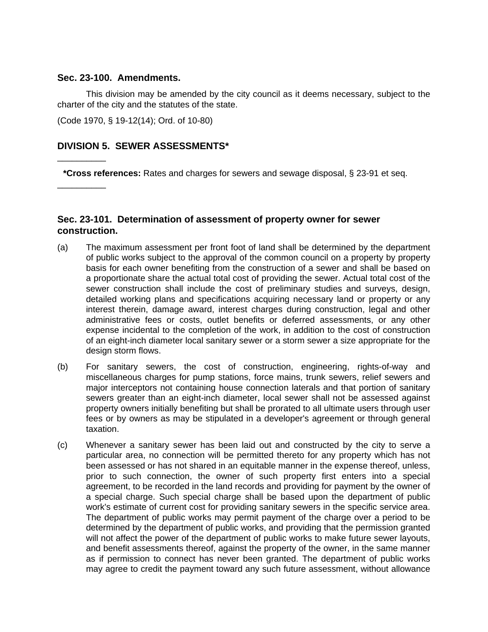#### **Sec. 23-100. Amendments.**

\_\_\_\_\_\_\_\_\_\_

\_\_\_\_\_\_\_\_\_\_

This division may be amended by the city council as it deems necessary, subject to the charter of the city and the statutes of the state.

(Code 1970, § 19-12(14); Ord. of 10-80)

# **DIVISION 5. SEWER ASSESSMENTS\***

**\*Cross references:** Rates and charges for sewers and sewage disposal, § 23-91 et seq.

# **Sec. 23-101. Determination of assessment of property owner for sewer construction.**

- (a) The maximum assessment per front foot of land shall be determined by the department of public works subject to the approval of the common council on a property by property basis for each owner benefiting from the construction of a sewer and shall be based on a proportionate share the actual total cost of providing the sewer. Actual total cost of the sewer construction shall include the cost of preliminary studies and surveys, design, detailed working plans and specifications acquiring necessary land or property or any interest therein, damage award, interest charges during construction, legal and other administrative fees or costs, outlet benefits or deferred assessments, or any other expense incidental to the completion of the work, in addition to the cost of construction of an eight-inch diameter local sanitary sewer or a storm sewer a size appropriate for the design storm flows.
- (b) For sanitary sewers, the cost of construction, engineering, rights-of-way and miscellaneous charges for pump stations, force mains, trunk sewers, relief sewers and major interceptors not containing house connection laterals and that portion of sanitary sewers greater than an eight-inch diameter, local sewer shall not be assessed against property owners initially benefiting but shall be prorated to all ultimate users through user fees or by owners as may be stipulated in a developer's agreement or through general taxation.
- (c) Whenever a sanitary sewer has been laid out and constructed by the city to serve a particular area, no connection will be permitted thereto for any property which has not been assessed or has not shared in an equitable manner in the expense thereof, unless, prior to such connection, the owner of such property first enters into a special agreement, to be recorded in the land records and providing for payment by the owner of a special charge. Such special charge shall be based upon the department of public work's estimate of current cost for providing sanitary sewers in the specific service area. The department of public works may permit payment of the charge over a period to be determined by the department of public works, and providing that the permission granted will not affect the power of the department of public works to make future sewer layouts, and benefit assessments thereof, against the property of the owner, in the same manner as if permission to connect has never been granted. The department of public works may agree to credit the payment toward any such future assessment, without allowance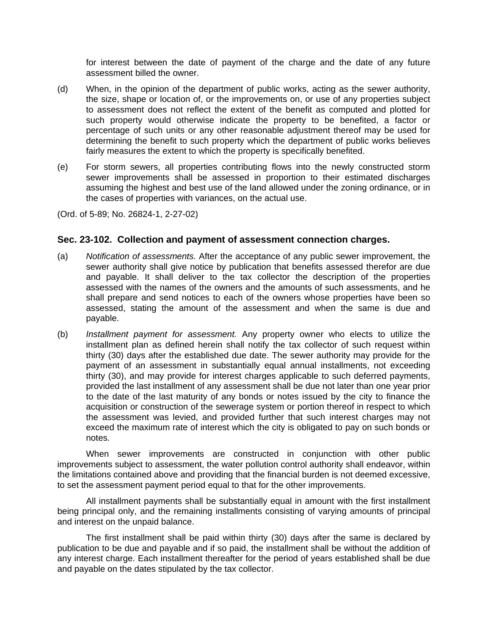for interest between the date of payment of the charge and the date of any future assessment billed the owner.

- (d) When, in the opinion of the department of public works, acting as the sewer authority, the size, shape or location of, or the improvements on, or use of any properties subject to assessment does not reflect the extent of the benefit as computed and plotted for such property would otherwise indicate the property to be benefited, a factor or percentage of such units or any other reasonable adjustment thereof may be used for determining the benefit to such property which the department of public works believes fairly measures the extent to which the property is specifically benefited.
- (e) For storm sewers, all properties contributing flows into the newly constructed storm sewer improvements shall be assessed in proportion to their estimated discharges assuming the highest and best use of the land allowed under the zoning ordinance, or in the cases of properties with variances, on the actual use.

(Ord. of 5-89; No. 26824-1, 2-27-02)

# **Sec. 23-102. Collection and payment of assessment connection charges.**

- (a) *Notification of assessments.* After the acceptance of any public sewer improvement, the sewer authority shall give notice by publication that benefits assessed therefor are due and payable. It shall deliver to the tax collector the description of the properties assessed with the names of the owners and the amounts of such assessments, and he shall prepare and send notices to each of the owners whose properties have been so assessed, stating the amount of the assessment and when the same is due and payable.
- (b) *Installment payment for assessment.* Any property owner who elects to utilize the installment plan as defined herein shall notify the tax collector of such request within thirty (30) days after the established due date. The sewer authority may provide for the payment of an assessment in substantially equal annual installments, not exceeding thirty (30), and may provide for interest charges applicable to such deferred payments, provided the last installment of any assessment shall be due not later than one year prior to the date of the last maturity of any bonds or notes issued by the city to finance the acquisition or construction of the sewerage system or portion thereof in respect to which the assessment was levied, and provided further that such interest charges may not exceed the maximum rate of interest which the city is obligated to pay on such bonds or notes.

When sewer improvements are constructed in conjunction with other public improvements subject to assessment, the water pollution control authority shall endeavor, within the limitations contained above and providing that the financial burden is not deemed excessive, to set the assessment payment period equal to that for the other improvements.

All installment payments shall be substantially equal in amount with the first installment being principal only, and the remaining installments consisting of varying amounts of principal and interest on the unpaid balance.

The first installment shall be paid within thirty (30) days after the same is declared by publication to be due and payable and if so paid, the installment shall be without the addition of any interest charge. Each installment thereafter for the period of years established shall be due and payable on the dates stipulated by the tax collector.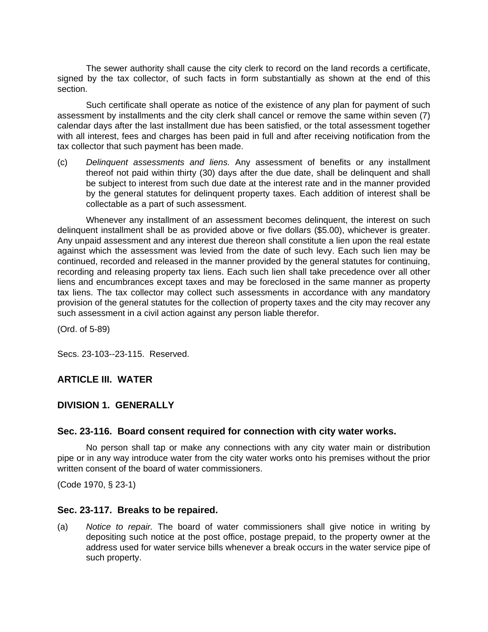The sewer authority shall cause the city clerk to record on the land records a certificate, signed by the tax collector, of such facts in form substantially as shown at the end of this section.

Such certificate shall operate as notice of the existence of any plan for payment of such assessment by installments and the city clerk shall cancel or remove the same within seven (7) calendar days after the last installment due has been satisfied, or the total assessment together with all interest, fees and charges has been paid in full and after receiving notification from the tax collector that such payment has been made.

(c) *Delinquent assessments and liens.* Any assessment of benefits or any installment thereof not paid within thirty (30) days after the due date, shall be delinquent and shall be subject to interest from such due date at the interest rate and in the manner provided by the general statutes for delinquent property taxes. Each addition of interest shall be collectable as a part of such assessment.

Whenever any installment of an assessment becomes delinquent, the interest on such delinquent installment shall be as provided above or five dollars (\$5.00), whichever is greater. Any unpaid assessment and any interest due thereon shall constitute a lien upon the real estate against which the assessment was levied from the date of such levy. Each such lien may be continued, recorded and released in the manner provided by the general statutes for continuing, recording and releasing property tax liens. Each such lien shall take precedence over all other liens and encumbrances except taxes and may be foreclosed in the same manner as property tax liens. The tax collector may collect such assessments in accordance with any mandatory provision of the general statutes for the collection of property taxes and the city may recover any such assessment in a civil action against any person liable therefor.

(Ord. of 5-89)

Secs. 23-103--23-115. Reserved.

# **ARTICLE III. WATER**

## **DIVISION 1. GENERALLY**

#### **Sec. 23-116. Board consent required for connection with city water works.**

No person shall tap or make any connections with any city water main or distribution pipe or in any way introduce water from the city water works onto his premises without the prior written consent of the board of water commissioners.

(Code 1970, § 23-1)

#### **Sec. 23-117. Breaks to be repaired.**

(a) *Notice to repair.* The board of water commissioners shall give notice in writing by depositing such notice at the post office, postage prepaid, to the property owner at the address used for water service bills whenever a break occurs in the water service pipe of such property.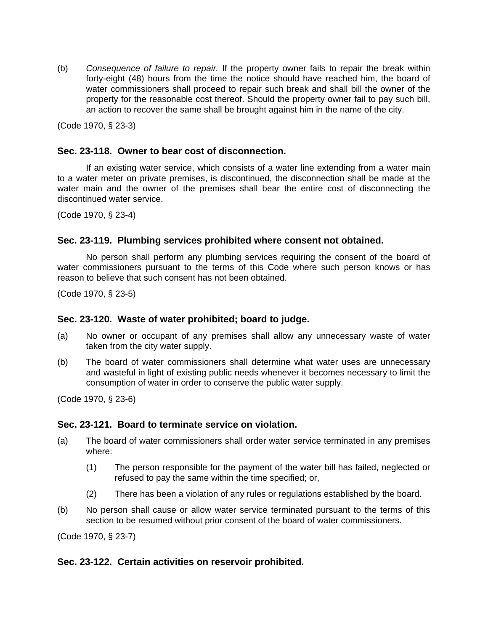(b) *Consequence of failure to repair.* If the property owner fails to repair the break within forty-eight (48) hours from the time the notice should have reached him, the board of water commissioners shall proceed to repair such break and shall bill the owner of the property for the reasonable cost thereof. Should the property owner fail to pay such bill, an action to recover the same shall be brought against him in the name of the city.

(Code 1970, § 23-3)

# **Sec. 23-118. Owner to bear cost of disconnection.**

If an existing water service, which consists of a water line extending from a water main to a water meter on private premises, is discontinued, the disconnection shall be made at the water main and the owner of the premises shall bear the entire cost of disconnecting the discontinued water service.

(Code 1970, § 23-4)

# **Sec. 23-119. Plumbing services prohibited where consent not obtained.**

No person shall perform any plumbing services requiring the consent of the board of water commissioners pursuant to the terms of this Code where such person knows or has reason to believe that such consent has not been obtained.

(Code 1970, § 23-5)

## **Sec. 23-120. Waste of water prohibited; board to judge.**

- (a) No owner or occupant of any premises shall allow any unnecessary waste of water taken from the city water supply.
- (b) The board of water commissioners shall determine what water uses are unnecessary and wasteful in light of existing public needs whenever it becomes necessary to limit the consumption of water in order to conserve the public water supply.

(Code 1970, § 23-6)

## **Sec. 23-121. Board to terminate service on violation.**

- (a) The board of water commissioners shall order water service terminated in any premises where:
	- (1) The person responsible for the payment of the water bill has failed, neglected or refused to pay the same within the time specified; or,
	- (2) There has been a violation of any rules or regulations established by the board.
- (b) No person shall cause or allow water service terminated pursuant to the terms of this section to be resumed without prior consent of the board of water commissioners.

(Code 1970, § 23-7)

# **Sec. 23-122. Certain activities on reservoir prohibited.**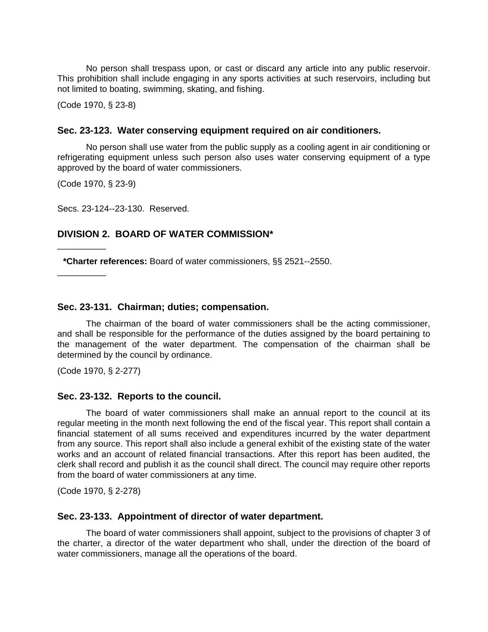No person shall trespass upon, or cast or discard any article into any public reservoir. This prohibition shall include engaging in any sports activities at such reservoirs, including but not limited to boating, swimming, skating, and fishing.

(Code 1970, § 23-8)

#### **Sec. 23-123. Water conserving equipment required on air conditioners.**

No person shall use water from the public supply as a cooling agent in air conditioning or refrigerating equipment unless such person also uses water conserving equipment of a type approved by the board of water commissioners.

(Code 1970, § 23-9)

Secs. 23-124--23-130. Reserved.

#### **DIVISION 2. BOARD OF WATER COMMISSION\***

**\*Charter references:** Board of water commissioners, §§ 2521--2550.

\_\_\_\_\_\_\_\_\_\_

\_\_\_\_\_\_\_\_\_\_

#### **Sec. 23-131. Chairman; duties; compensation.**

The chairman of the board of water commissioners shall be the acting commissioner, and shall be responsible for the performance of the duties assigned by the board pertaining to the management of the water department. The compensation of the chairman shall be determined by the council by ordinance.

(Code 1970, § 2-277)

#### **Sec. 23-132. Reports to the council.**

The board of water commissioners shall make an annual report to the council at its regular meeting in the month next following the end of the fiscal year. This report shall contain a financial statement of all sums received and expenditures incurred by the water department from any source. This report shall also include a general exhibit of the existing state of the water works and an account of related financial transactions. After this report has been audited, the clerk shall record and publish it as the council shall direct. The council may require other reports from the board of water commissioners at any time.

(Code 1970, § 2-278)

#### **Sec. 23-133. Appointment of director of water department.**

The board of water commissioners shall appoint, subject to the provisions of chapter 3 of the charter, a director of the water department who shall, under the direction of the board of water commissioners, manage all the operations of the board.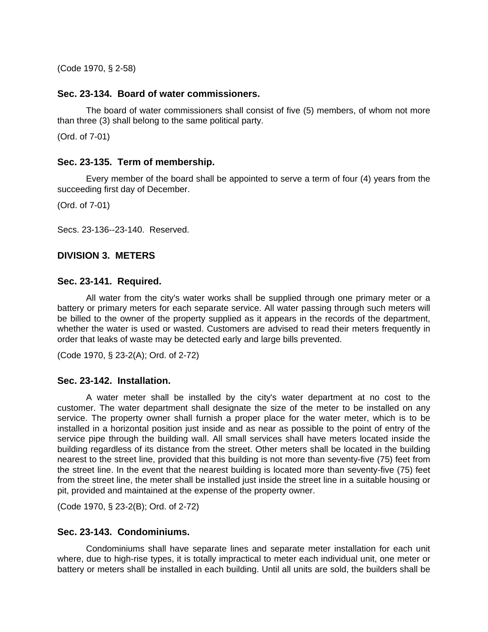(Code 1970, § 2-58)

## **Sec. 23-134. Board of water commissioners.**

The board of water commissioners shall consist of five (5) members, of whom not more than three (3) shall belong to the same political party.

(Ord. of 7-01)

# **Sec. 23-135. Term of membership.**

Every member of the board shall be appointed to serve a term of four (4) years from the succeeding first day of December.

(Ord. of 7-01)

Secs. 23-136--23-140. Reserved.

## **DIVISION 3. METERS**

## **Sec. 23-141. Required.**

All water from the city's water works shall be supplied through one primary meter or a battery or primary meters for each separate service. All water passing through such meters will be billed to the owner of the property supplied as it appears in the records of the department, whether the water is used or wasted. Customers are advised to read their meters frequently in order that leaks of waste may be detected early and large bills prevented.

(Code 1970, § 23-2(A); Ord. of 2-72)

## **Sec. 23-142. Installation.**

A water meter shall be installed by the city's water department at no cost to the customer. The water department shall designate the size of the meter to be installed on any service. The property owner shall furnish a proper place for the water meter, which is to be installed in a horizontal position just inside and as near as possible to the point of entry of the service pipe through the building wall. All small services shall have meters located inside the building regardless of its distance from the street. Other meters shall be located in the building nearest to the street line, provided that this building is not more than seventy-five (75) feet from the street line. In the event that the nearest building is located more than seventy-five (75) feet from the street line, the meter shall be installed just inside the street line in a suitable housing or pit, provided and maintained at the expense of the property owner.

(Code 1970, § 23-2(B); Ord. of 2-72)

## **Sec. 23-143. Condominiums.**

Condominiums shall have separate lines and separate meter installation for each unit where, due to high-rise types, it is totally impractical to meter each individual unit, one meter or battery or meters shall be installed in each building. Until all units are sold, the builders shall be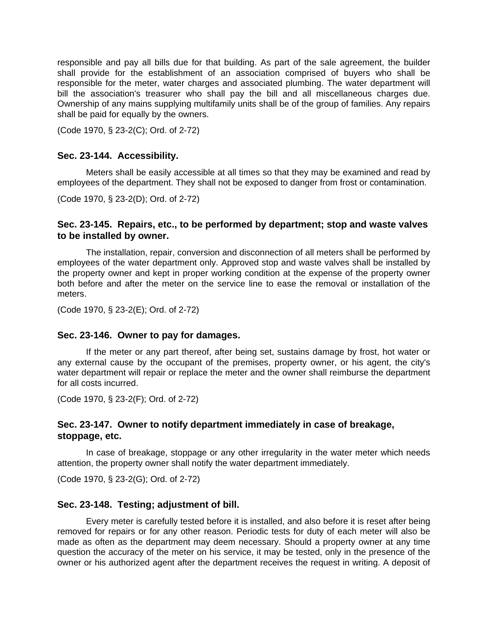responsible and pay all bills due for that building. As part of the sale agreement, the builder shall provide for the establishment of an association comprised of buyers who shall be responsible for the meter, water charges and associated plumbing. The water department will bill the association's treasurer who shall pay the bill and all miscellaneous charges due. Ownership of any mains supplying multifamily units shall be of the group of families. Any repairs shall be paid for equally by the owners.

(Code 1970, § 23-2(C); Ord. of 2-72)

#### **Sec. 23-144. Accessibility.**

Meters shall be easily accessible at all times so that they may be examined and read by employees of the department. They shall not be exposed to danger from frost or contamination.

(Code 1970, § 23-2(D); Ord. of 2-72)

# **Sec. 23-145. Repairs, etc., to be performed by department; stop and waste valves to be installed by owner.**

The installation, repair, conversion and disconnection of all meters shall be performed by employees of the water department only. Approved stop and waste valves shall be installed by the property owner and kept in proper working condition at the expense of the property owner both before and after the meter on the service line to ease the removal or installation of the meters.

(Code 1970, § 23-2(E); Ord. of 2-72)

#### **Sec. 23-146. Owner to pay for damages.**

If the meter or any part thereof, after being set, sustains damage by frost, hot water or any external cause by the occupant of the premises, property owner, or his agent, the city's water department will repair or replace the meter and the owner shall reimburse the department for all costs incurred.

(Code 1970, § 23-2(F); Ord. of 2-72)

# **Sec. 23-147. Owner to notify department immediately in case of breakage, stoppage, etc.**

In case of breakage, stoppage or any other irregularity in the water meter which needs attention, the property owner shall notify the water department immediately.

(Code 1970, § 23-2(G); Ord. of 2-72)

#### **Sec. 23-148. Testing; adjustment of bill.**

Every meter is carefully tested before it is installed, and also before it is reset after being removed for repairs or for any other reason. Periodic tests for duty of each meter will also be made as often as the department may deem necessary. Should a property owner at any time question the accuracy of the meter on his service, it may be tested, only in the presence of the owner or his authorized agent after the department receives the request in writing. A deposit of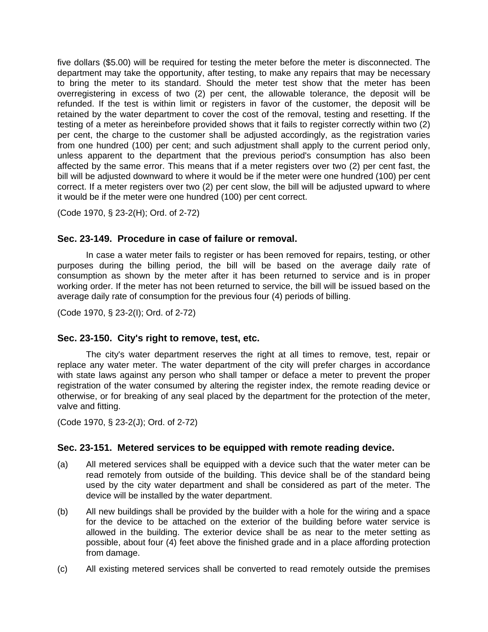five dollars (\$5.00) will be required for testing the meter before the meter is disconnected. The department may take the opportunity, after testing, to make any repairs that may be necessary to bring the meter to its standard. Should the meter test show that the meter has been overregistering in excess of two (2) per cent, the allowable tolerance, the deposit will be refunded. If the test is within limit or registers in favor of the customer, the deposit will be retained by the water department to cover the cost of the removal, testing and resetting. If the testing of a meter as hereinbefore provided shows that it fails to register correctly within two (2) per cent, the charge to the customer shall be adjusted accordingly, as the registration varies from one hundred (100) per cent; and such adjustment shall apply to the current period only, unless apparent to the department that the previous period's consumption has also been affected by the same error. This means that if a meter registers over two (2) per cent fast, the bill will be adjusted downward to where it would be if the meter were one hundred (100) per cent correct. If a meter registers over two (2) per cent slow, the bill will be adjusted upward to where it would be if the meter were one hundred (100) per cent correct.

(Code 1970, § 23-2(H); Ord. of 2-72)

# **Sec. 23-149. Procedure in case of failure or removal.**

In case a water meter fails to register or has been removed for repairs, testing, or other purposes during the billing period, the bill will be based on the average daily rate of consumption as shown by the meter after it has been returned to service and is in proper working order. If the meter has not been returned to service, the bill will be issued based on the average daily rate of consumption for the previous four (4) periods of billing.

(Code 1970, § 23-2(I); Ord. of 2-72)

## **Sec. 23-150. City's right to remove, test, etc.**

The city's water department reserves the right at all times to remove, test, repair or replace any water meter. The water department of the city will prefer charges in accordance with state laws against any person who shall tamper or deface a meter to prevent the proper registration of the water consumed by altering the register index, the remote reading device or otherwise, or for breaking of any seal placed by the department for the protection of the meter, valve and fitting.

(Code 1970, § 23-2(J); Ord. of 2-72)

# **Sec. 23-151. Metered services to be equipped with remote reading device.**

- (a) All metered services shall be equipped with a device such that the water meter can be read remotely from outside of the building. This device shall be of the standard being used by the city water department and shall be considered as part of the meter. The device will be installed by the water department.
- (b) All new buildings shall be provided by the builder with a hole for the wiring and a space for the device to be attached on the exterior of the building before water service is allowed in the building. The exterior device shall be as near to the meter setting as possible, about four (4) feet above the finished grade and in a place affording protection from damage.
- (c) All existing metered services shall be converted to read remotely outside the premises